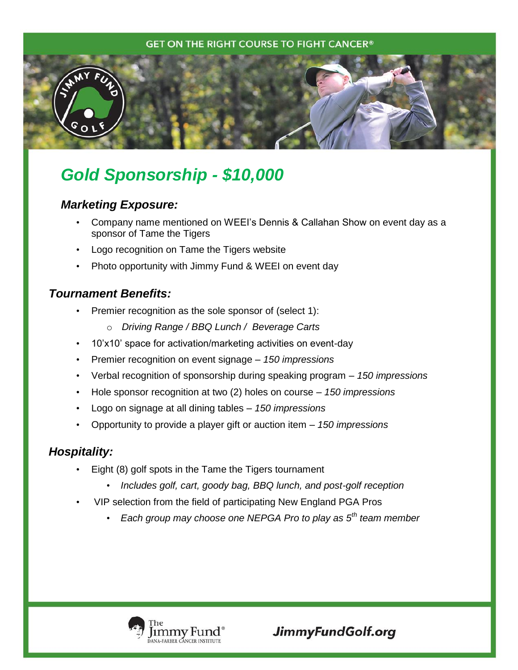#### **GET ON THE RIGHT COURSE TO FIGHT CANCER®**



# *Gold Sponsorship - \$10,000*

### *Marketing Exposure:*

- Company name mentioned on WEEI's Dennis & Callahan Show on event day as a sponsor of Tame the Tigers
- Logo recognition on Tame the Tigers website
- Photo opportunity with Jimmy Fund & WEEI on event day

## *Tournament Benefits:*

- Premier recognition as the sole sponsor of (select 1):
	- o *Driving Range / BBQ Lunch / Beverage Carts*
- 10'x10' space for activation/marketing activities on event-day
- Premier recognition on event signage *150 impressions*
- Verbal recognition of sponsorship during speaking program *150 impressions*
- Hole sponsor recognition at two (2) holes on course *150 impressions*
- Logo on signage at all dining tables *150 impressions*
- Opportunity to provide a player gift or auction item *150 impressions*

# *Hospitality:*

- Eight (8) golf spots in the Tame the Tigers tournament
	- *Includes golf, cart, goody bag, BBQ lunch, and post-golf reception*
- VIP selection from the field of participating New England PGA Pros
	- *Each group may choose one NEPGA Pro to play as 5th team member*



JimmyFundGolf.org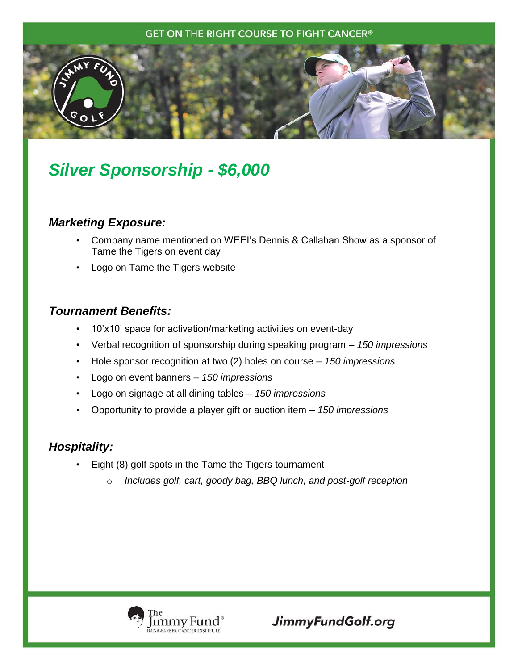#### **GET ON THE RIGHT COURSE TO FIGHT CANCER®**



# *Silver Sponsorship - \$6,000*

### *Marketing Exposure:*

- Company name mentioned on WEEI's Dennis & Callahan Show as a sponsor of Tame the Tigers on event day
- Logo on Tame the Tigers website

## *Tournament Benefits:*

- 10'x10' space for activation/marketing activities on event-day
- Verbal recognition of sponsorship during speaking program *150 impressions*
- Hole sponsor recognition at two (2) holes on course *150 impressions*
- Logo on event banners *150 impressions*
- Logo on signage at all dining tables *150 impressions*
- Opportunity to provide a player gift or auction item *150 impressions*

### *Hospitality:*

- Eight (8) golf spots in the Tame the Tigers tournament
	- o *Includes golf, cart, goody bag, BBQ lunch, and post-golf reception*



JimmyFundGolf.org